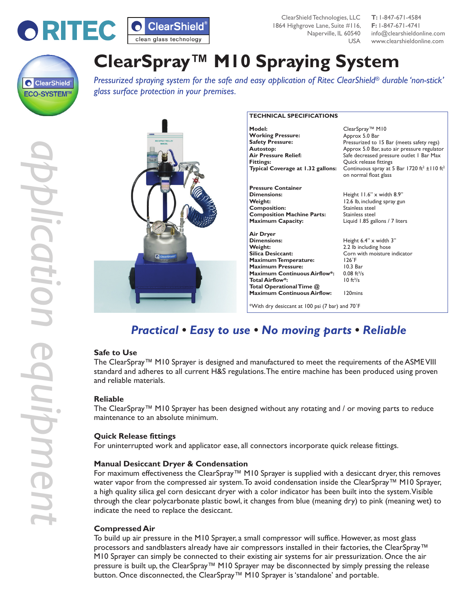

ClearShield Technologies, LLC **T:** 1-847-671-4584 1864 Highgrove Lane, Suite #116, **F:** 1-847-671-4741

Naperville, IL 60540 info@clearshieldonline.com USA www.clearshieldonline.com



# **ClearSpray™ M10 Spraying System**

*Pressurized spraying system for the safe and easy application of Ritec ClearShield® durable 'non-stick' glass surface protection in your premises.*



| Model:                              | ClearSpray™ M10                                                                               |
|-------------------------------------|-----------------------------------------------------------------------------------------------|
| <b>Working Pressure:</b>            | Approx 5.0 Bar                                                                                |
| <b>Safety Pressure:</b>             | Pressurized to 15 Bar (meets safety regs)                                                     |
| Autostop:                           | Approx 5.0 Bar, auto air pressure regulator                                                   |
| <b>Air Pressure Relief:</b>         | Safe decreased pressure outlet I Bar Max                                                      |
| <b>Fittings:</b>                    | Quick release fittings                                                                        |
| Typical Coverage at 1.32 gallons:   | Continuous spray at 5 Bar 1720 ft <sup>2</sup> ± 110 ft <sup>2</sup><br>on normal float glass |
| <b>Pressure Container</b>           |                                                                                               |
| Dimensions:                         | Height 11.6" x width 8.9"                                                                     |
| Weight:                             | 12.6 lb, including spray gun                                                                  |
| <b>Composition:</b>                 | Stainless steel                                                                               |
| <b>Composition Machine Parts:</b>   | Stainless steel                                                                               |
| <b>Maximum Capacity:</b>            | Liquid 1.85 gallons / 7 liters                                                                |
| <b>Air Dryer</b>                    |                                                                                               |
| Dimensions:                         | Height 6.4" x width 3"                                                                        |
| Weight:                             | 2.2 lb including hose                                                                         |
| Silica Desiccant:                   | Corn with moisture indicator                                                                  |
| <b>Maximum Temperature:</b>         | $126^\circ F$                                                                                 |
| <b>Maximum Pressure:</b>            | $10.3$ Bar                                                                                    |
| <b>Maximum Continuous Airflow*:</b> | $0.08 \text{ ft}^3\text{/s}$                                                                  |
| <b>Total Airflow*:</b>              | $10 \frac{ft^3}{s}$                                                                           |
| Total Operational Time @            |                                                                                               |
| <b>Maximum Continuous Airflow:</b>  | 120mins                                                                                       |

## \*With dry desiccant at 100 psi (7 bar) and 70˚F

# *Practical • Easy to use • No moving parts • Reliable*

### **Safe to Use**

The ClearSpray™ M10 Sprayer is designed and manufactured to meet the requirements of the ASME VIII standard and adheres to all current H&S regulations. The entire machine has been produced using proven and reliable materials.

### **Reliable**

The ClearSpray™ M10 Sprayer has been designed without any rotating and / or moving parts to reduce maintenance to an absolute minimum.

### **Quick Release fittings**

For uninterrupted work and applicator ease, all connectors incorporate quick release fittings.

### **Manual Desiccant Dryer & Condensation**

For maximum effectiveness the ClearSpray™ M10 Sprayer is supplied with a desiccant dryer, this removes water vapor from the compressed air system. To avoid condensation inside the ClearSpray™ M10 Sprayer, a high quality silica gel corn desiccant dryer with a color indicator has been built into the system. Visible through the clear polycarbonate plastic bowl, it changes from blue (meaning dry) to pink (meaning wet) to indicate the need to replace the desiccant.

### **Compressed Air**

To build up air pressure in the M10 Sprayer, a small compressor will suffice. However, as most glass processors and sandblasters already have air compressors installed in their factories, the ClearSpray™ M10 Sprayer can simply be connected to their existing air systems for air pressurization. Once the air pressure is built up, the ClearSpray™ M10 Sprayer may be disconnected by simply pressing the release button. Once disconnected, the ClearSpray™ M10 Sprayer is 'standalone' and portable.